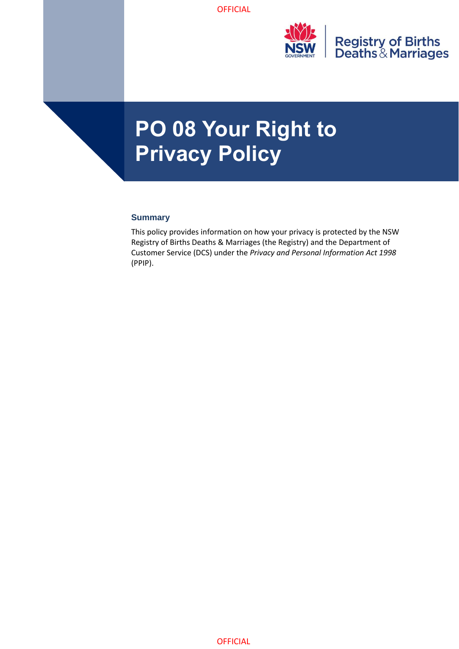

# **PO 08 Your Right to Privacy Policy**

#### **Summary**

This policy provides information on how your privacy is protected by the NSW Registry of Births Deaths & Marriages (the Registry) and the Department of Customer Service (DCS) under the *Privacy and Personal Information Act 1998* (PPIP).

**OFFICIAL**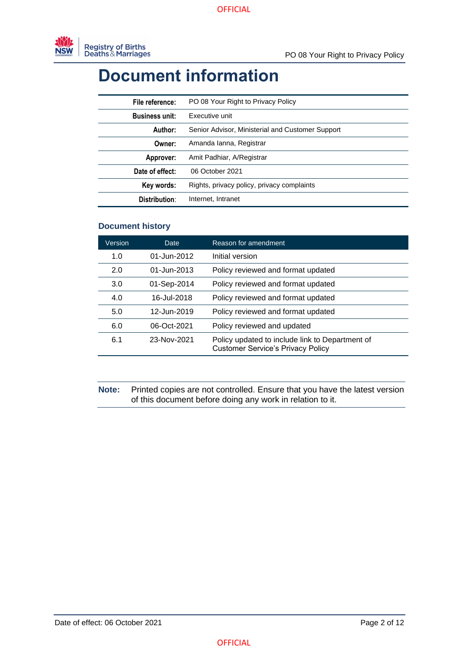## **Document information**

| File reference:       | PO 08 Your Right to Privacy Policy               |
|-----------------------|--------------------------------------------------|
| <b>Business unit:</b> | Executive unit                                   |
| Author:               | Senior Advisor, Ministerial and Customer Support |
| Owner:                | Amanda Janna, Registrar                          |
| Approver:             | Amit Padhiar, A/Registrar                        |
| Date of effect:       | 06 October 2021                                  |
| Key words:            | Rights, privacy policy, privacy complaints       |
| Distribution:         | Internet, Intranet                               |

#### **Document history**

| Version | Date        | Reason for amendment                                                                        |
|---------|-------------|---------------------------------------------------------------------------------------------|
| 1.0     | 01-Jun-2012 | Initial version                                                                             |
| 2.0     | 01-Jun-2013 | Policy reviewed and format updated                                                          |
| 3.0     | 01-Sep-2014 | Policy reviewed and format updated                                                          |
| 4.0     | 16-Jul-2018 | Policy reviewed and format updated                                                          |
| 5.0     | 12-Jun-2019 | Policy reviewed and format updated                                                          |
| 6.0     | 06-Oct-2021 | Policy reviewed and updated                                                                 |
| 6.1     | 23-Nov-2021 | Policy updated to include link to Department of<br><b>Customer Service's Privacy Policy</b> |

**Note:** Printed copies are not controlled. Ensure that you have the latest version of this document before doing any work in relation to it.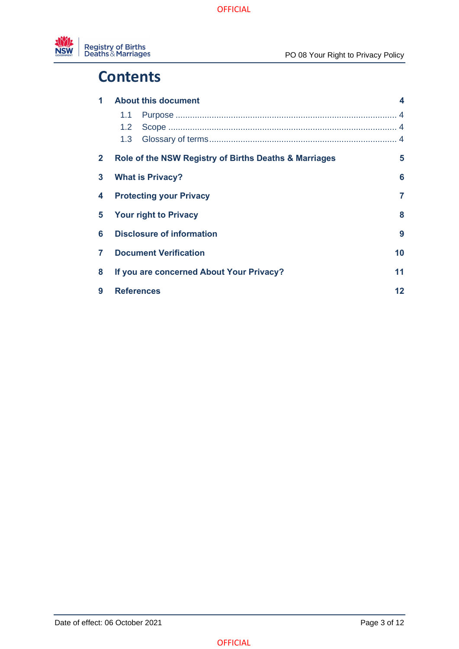

#### **Contents**

| 1            | <b>About this document</b>                     |                                                       |    |
|--------------|------------------------------------------------|-------------------------------------------------------|----|
|              | 1.1                                            |                                                       |    |
|              | 1.2 <sub>1</sub>                               |                                                       |    |
|              | 1.3                                            |                                                       |    |
| $\mathbf{2}$ |                                                | Role of the NSW Registry of Births Deaths & Marriages | 5  |
| 3            | 6<br><b>What is Privacy?</b>                   |                                                       |    |
| 4            | 7<br><b>Protecting your Privacy</b>            |                                                       |    |
| 5            | 8<br><b>Your right to Privacy</b>              |                                                       |    |
| 6            | <b>Disclosure of information</b><br>9          |                                                       |    |
| 7            | <b>Document Verification</b>                   |                                                       | 10 |
| 8            | If you are concerned About Your Privacy?<br>11 |                                                       |    |
| 9            | <b>References</b><br>$12 \,$                   |                                                       |    |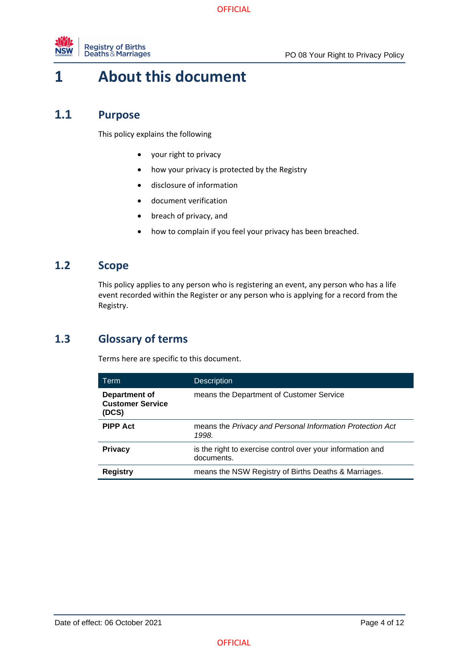

### <span id="page-3-0"></span>**1 About this document**

#### **1.1 Purpose**

<span id="page-3-1"></span>This policy explains the following

- your right to privacy
- how your privacy is protected by the Registry
- disclosure of information
- document verification
- breach of privacy, and
- how to complain if you feel your privacy has been breached.

#### **1.2 Scope**

<span id="page-3-2"></span>This policy applies to any person who is registering an event, any person who has a life event recorded within the Register or any person who is applying for a record from the Registry.

#### **1.3 Glossary of terms**

<span id="page-3-3"></span>Terms here are specific to this document.

| Term                                              | <b>Description</b>                                                       |
|---------------------------------------------------|--------------------------------------------------------------------------|
| Department of<br><b>Customer Service</b><br>(DCS) | means the Department of Customer Service                                 |
| <b>PIPP Act</b>                                   | means the Privacy and Personal Information Protection Act<br>1998.       |
| <b>Privacy</b>                                    | is the right to exercise control over your information and<br>documents. |
| <b>Registry</b>                                   | means the NSW Registry of Births Deaths & Marriages.                     |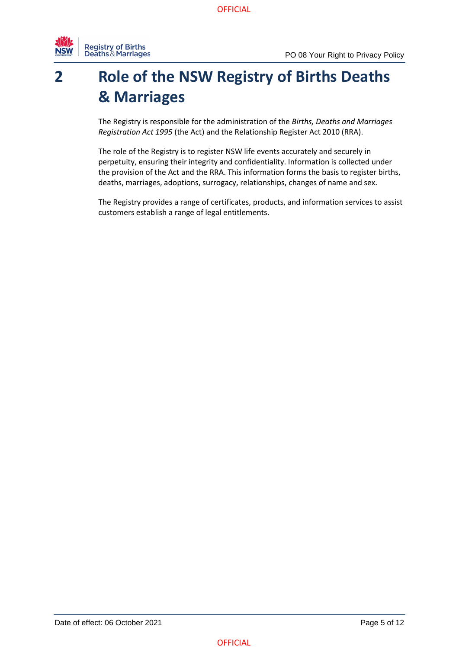

## <span id="page-4-0"></span>**2 Role of the NSW Registry of Births Deaths & Marriages**

The Registry is responsible for the administration of the *Births, Deaths and Marriages Registration Act 1995* (the Act) and the Relationship Register Act 2010 (RRA).

The role of the Registry is to register NSW life events accurately and securely in perpetuity, ensuring their integrity and confidentiality. Information is collected under the provision of the Act and the RRA. This information forms the basis to register births, deaths, marriages, adoptions, surrogacy, relationships, changes of name and sex.

The Registry provides a range of certificates, products, and information services to assist customers establish a range of legal entitlements.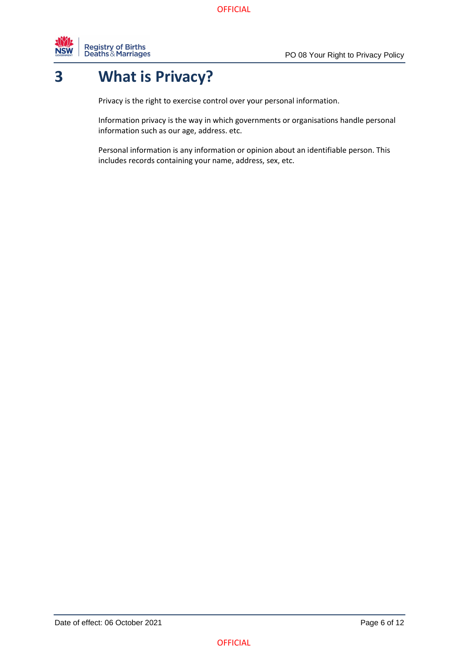

## **3 What is Privacy?**

<span id="page-5-0"></span>Privacy is the right to exercise control over your personal information.

Information privacy is the way in which governments or organisations handle personal information such as our age, address. etc.

Personal information is any information or opinion about an identifiable person. This includes records containing your name, address, sex, etc.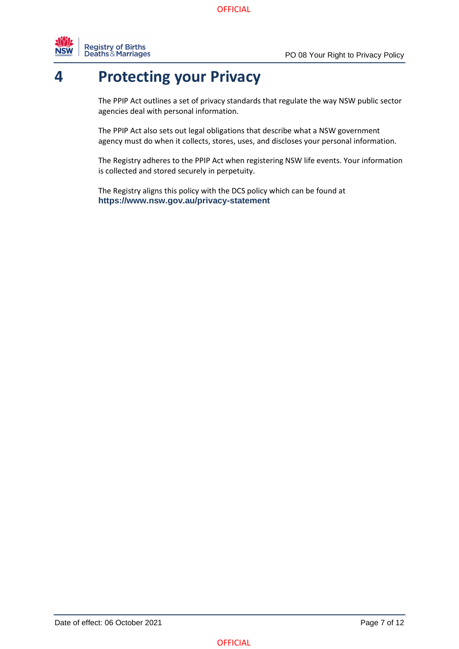

#### **4 Protecting your Privacy**

<span id="page-6-0"></span>The PPIP Act outlines a set of privacy standards that regulate the way NSW public sector agencies deal with personal information.

The PPIP Act also sets out legal obligations that describe what a NSW government agency must do when it collects, stores, uses, and discloses your personal information.

The Registry adheres to the PPIP Act when registering NSW life events. Your information is collected and stored securely in perpetuity.

The Registry aligns this policy with the DCS policy which can be found at **https://www.nsw.gov.au/privacy-statement**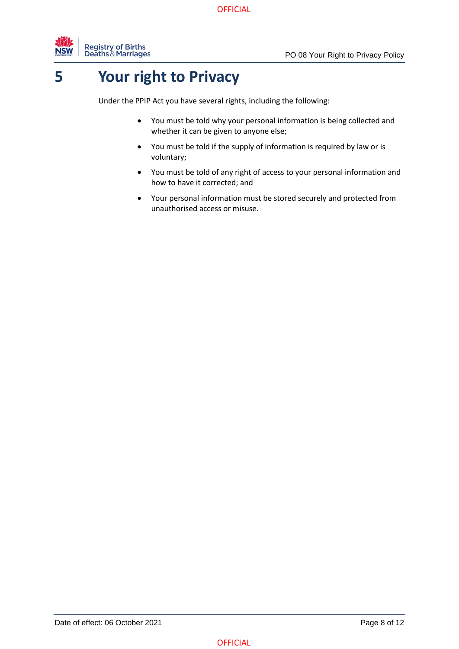

## **5 Your right to Privacy**

<span id="page-7-0"></span>Under the PPIP Act you have several rights, including the following:

- You must be told why your personal information is being collected and whether it can be given to anyone else;
- You must be told if the supply of information is required by law or is voluntary;
- You must be told of any right of access to your personal information and how to have it corrected; and
- Your personal information must be stored securely and protected from unauthorised access or misuse.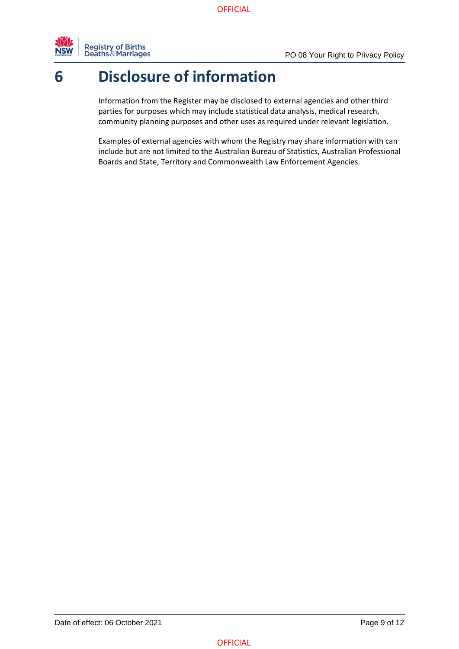

### **6 Disclosure of information**

<span id="page-8-0"></span>Information from the Register may be disclosed to external agencies and other third parties for purposes which may include statistical data analysis, medical research, community planning purposes and other uses as required under relevant legislation.

Examples of external agencies with whom the Registry may share information with can include but are not limited to the Australian Bureau of Statistics, Australian Professional Boards and State, Territory and Commonwealth Law Enforcement Agencies.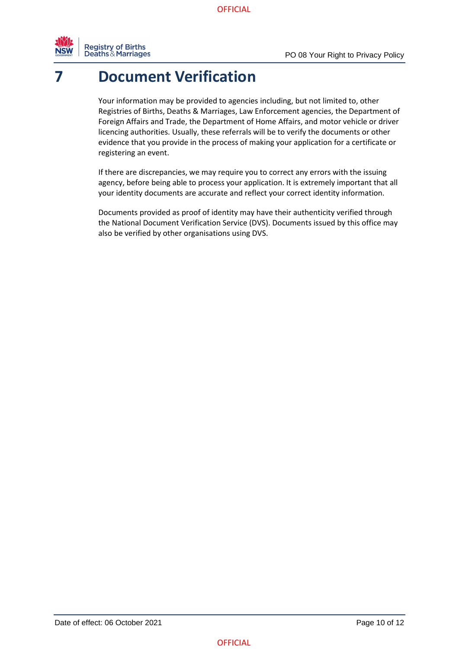

## **7 Document Verification**

<span id="page-9-0"></span>Your information may be provided to agencies including, but not limited to, other Registries of Births, Deaths & Marriages, Law Enforcement agencies, the Department of Foreign Affairs and Trade, the Department of Home Affairs, and motor vehicle or driver licencing authorities. Usually, these referrals will be to verify the documents or other evidence that you provide in the process of making your application for a certificate or registering an event.

If there are discrepancies, we may require you to correct any errors with the issuing agency, before being able to process your application. It is extremely important that all your identity documents are accurate and reflect your correct identity information.

Documents provided as proof of identity may have their authenticity verified through the National Document Verification Service (DVS). Documents issued by this office may also be verified by other organisations using DVS.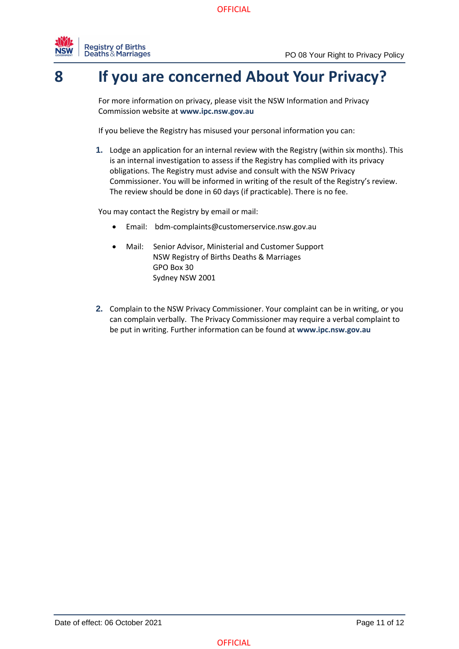

#### **8 If you are concerned About Your Privacy?**

<span id="page-10-0"></span>For more information on privacy, please visit the NSW Information and Privacy Commission website at **[www.ipc.nsw.gov.au](https://www.ipc.nsw.gov.au/how-do-i-make-complaint)**

If you believe the Registry has misused your personal information you can:

**1.** Lodge an application for an internal review with the Registry (within six months). This is an internal investigation to assess if the Registry has complied with its privacy obligations. The Registry must advise and consult with the NSW Privacy Commissioner. You will be informed in writing of the result of the Registry's review. The review should be done in 60 days (if practicable). There is no fee.

You may contact the Registry by email or mail:

- Email: [bdm-complaints@customerservice.nsw.gov.au](mailto:bdm-complaints@customerservice.nsw.gov.au)
- Mail: Senior Advisor, Ministerial and Customer Support NSW Registry of Births Deaths & Marriages GPO Box 30 Sydney NSW 2001
- **2.** Complain to the NSW Privacy Commissioner. Your complaint can be in writing, or you can complain verbally. The Privacy Commissioner may require a verbal complaint to be put in writing. Further information can be found at **[www.ipc.nsw.gov.au](https://www.ipc.nsw.gov.au/how-do-i-make-complaint)**